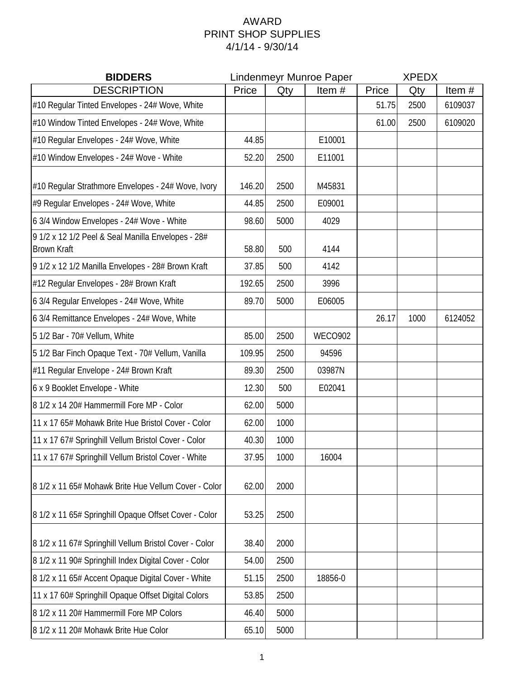## AWARD PRINT SHOP SUPPLIES 4/1/14 - 9/30/14

| <b>BIDDERS</b>                                                           | Lindenmeyr Munroe Paper |      |                | <b>XPEDX</b> |      |         |  |
|--------------------------------------------------------------------------|-------------------------|------|----------------|--------------|------|---------|--|
| <b>DESCRIPTION</b>                                                       | Price                   | Qty  | Item#          | Price        | Qty  | Item#   |  |
| #10 Regular Tinted Envelopes - 24# Wove, White                           |                         |      |                | 51.75        | 2500 | 6109037 |  |
| #10 Window Tinted Envelopes - 24# Wove, White                            |                         |      |                | 61.00        | 2500 | 6109020 |  |
| #10 Regular Envelopes - 24# Wove, White                                  | 44.85                   |      | E10001         |              |      |         |  |
| #10 Window Envelopes - 24# Wove - White                                  | 52.20                   | 2500 | E11001         |              |      |         |  |
| #10 Regular Strathmore Envelopes - 24# Wove, Ivory                       | 146.20                  | 2500 | M45831         |              |      |         |  |
| #9 Regular Envelopes - 24# Wove, White                                   | 44.85                   | 2500 | E09001         |              |      |         |  |
| 6 3/4 Window Envelopes - 24# Wove - White                                | 98.60                   | 5000 | 4029           |              |      |         |  |
| 9 1/2 x 12 1/2 Peel & Seal Manilla Envelopes - 28#<br><b>Brown Kraft</b> | 58.80                   | 500  | 4144           |              |      |         |  |
| 9 1/2 x 12 1/2 Manilla Envelopes - 28# Brown Kraft                       | 37.85                   | 500  | 4142           |              |      |         |  |
| #12 Regular Envelopes - 28# Brown Kraft                                  | 192.65                  | 2500 | 3996           |              |      |         |  |
| 6 3/4 Regular Envelopes - 24# Wove, White                                | 89.70                   | 5000 | E06005         |              |      |         |  |
| 6 3/4 Remittance Envelopes - 24# Wove, White                             |                         |      |                | 26.17        | 1000 | 6124052 |  |
| 5 1/2 Bar - 70# Vellum, White                                            | 85.00                   | 2500 | <b>WECO902</b> |              |      |         |  |
| 5 1/2 Bar Finch Opaque Text - 70# Vellum, Vanilla                        | 109.95                  | 2500 | 94596          |              |      |         |  |
| #11 Regular Envelope - 24# Brown Kraft                                   | 89.30                   | 2500 | 03987N         |              |      |         |  |
| 6 x 9 Booklet Envelope - White                                           | 12.30                   | 500  | E02041         |              |      |         |  |
| 8 1/2 x 14 20# Hammermill Fore MP - Color                                | 62.00                   | 5000 |                |              |      |         |  |
| 11 x 17 65# Mohawk Brite Hue Bristol Cover - Color                       | 62.00                   | 1000 |                |              |      |         |  |
| 11 x 17 67# Springhill Vellum Bristol Cover - Color                      | 40.30                   | 1000 |                |              |      |         |  |
| 11 x 17 67# Springhill Vellum Bristol Cover - White                      | 37.95                   | 1000 | 16004          |              |      |         |  |
| 8 1/2 x 11 65# Mohawk Brite Hue Vellum Cover - Color                     | 62.00                   | 2000 |                |              |      |         |  |
| 8 1/2 x 11 65# Springhill Opaque Offset Cover - Color                    | 53.25                   | 2500 |                |              |      |         |  |
| 8 1/2 x 11 67# Springhill Vellum Bristol Cover - Color                   | 38.40                   | 2000 |                |              |      |         |  |
| 8 1/2 x 11 90# Springhill Index Digital Cover - Color                    | 54.00                   | 2500 |                |              |      |         |  |
| 8 1/2 x 11 65# Accent Opaque Digital Cover - White                       | 51.15                   | 2500 | 18856-0        |              |      |         |  |
| 11 x 17 60# Springhill Opaque Offset Digital Colors                      | 53.85                   | 2500 |                |              |      |         |  |
| 8 1/2 x 11 20# Hammermill Fore MP Colors                                 | 46.40                   | 5000 |                |              |      |         |  |
| 8 1/2 x 11 20# Mohawk Brite Hue Color                                    | 65.10                   | 5000 |                |              |      |         |  |